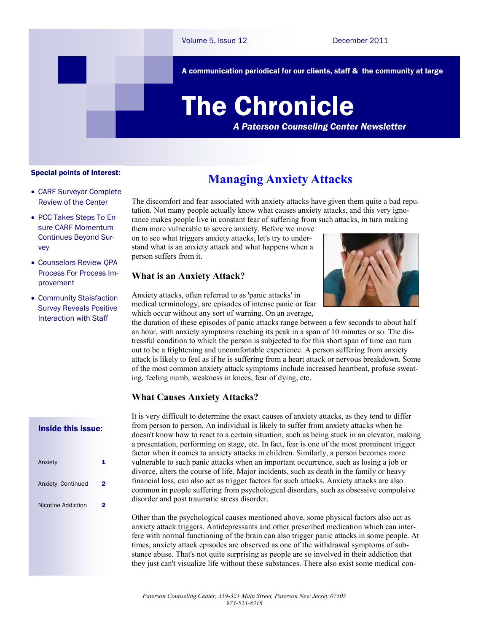A communication periodical for our clients, staff & the community at large

# The Chronicle

*A Paterson Counseling Center Newsletter*

#### Special points of interest:

- CARF Surveyor Complete Review of the Center
- PCC Takes Steps To Ensure CARF Momentum Continues Beyond Survey
- Counselors Review QPA Process For Process Improvement
- Community Staisfaction Survey Reveals Positive Interaction with Staff

#### Inside this issue:

| Anxiety            |   |
|--------------------|---|
| Anxiety Continued  | 2 |
| Nicotine Addiction | 2 |
|                    |   |

### **Managing Anxiety Attacks**

The discomfort and fear associated with anxiety attacks have given them quite a bad reputation. Not many people actually know what causes anxiety attacks, and this very ignorance makes people live in constant fear of suffering from such attacks, in turn making

them more vulnerable to severe anxiety. Before we move on to see what triggers anxiety attacks, let's try to understand what is an anxiety attack and what happens when a person suffers from it.

#### **What is an Anxiety Attack?**



Anxiety attacks, often referred to as 'panic attacks' in medical terminology, are episodes of intense panic or fear which occur without any sort of warning. On an average,

the duration of these episodes of panic attacks range between a few seconds to about half an hour, with anxiety symptoms reaching its peak in a span of 10 minutes or so. The distressful condition to which the person is subjected to for this short span of time can turn out to be a frightening and uncomfortable experience. A person suffering from anxiety attack is likely to feel as if he is suffering from a heart attack or nervous breakdown. Some of the most common anxiety attack symptoms include increased heartbeat, profuse sweating, feeling numb, weakness in knees, fear of dying, etc.

#### **What Causes Anxiety Attacks?**

It is very difficult to determine the exact causes of anxiety attacks, as they tend to differ from person to person. An individual is likely to suffer from anxiety attacks when he doesn't know how to react to a certain situation, such as being stuck in an elevator, making a presentation, performing on stage, etc. In fact, fear is one of the most prominent trigger factor when it comes to anxiety attacks in children. Similarly, a person becomes more vulnerable to such panic attacks when an important occurrence, such as losing a job or divorce, alters the course of life. Major incidents, such as death in the family or heavy financial loss, can also act as trigger factors for such attacks. Anxiety attacks are also common in people suffering from psychological disorders, such as obsessive compulsive disorder and post traumatic stress disorder.

Other than the psychological causes mentioned above, some physical factors also act as anxiety attack triggers. Antidepressants and other prescribed medication which can interfere with normal functioning of the brain can also trigger panic attacks in some people. At times, anxiety attack episodes are observed as one of the withdrawal symptoms of substance abuse. That's not quite surprising as people are so involved in their addiction that they just can't visualize life without these substances. There also exist some medical con-